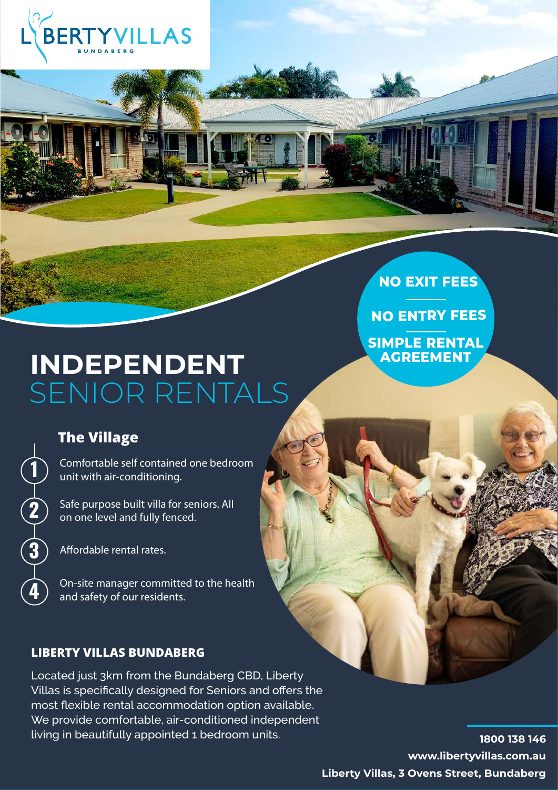

# **INDEPENDENT** SENIOR RENTALS

# **The Village**

**2**

**3**

**4**

**1** Comfortable self contained one bedroom unit with air-conditioning.

Safe purpose built villa for seniors. All on one level and fully fenced.

Affordable rental rates.

On-site manager committed to the health and safety of our residents.

### **LIBERTY VILLAS BUNDABERG**

Located just 3km from the Bundaberg CBD, Liberty Villas is specifically designed for Seniors and offers the most flexible rental accommodation option available. We provide comfortable, air-conditioned independent living in beautifully appointed 1 bedroom units.

**www.libertyvillas.com.au 1800 138 146 Liberty Villas, 3 Ovens Street, Bundaberg**

**NO ENTRY FEES**

**SIMPLE RENTAL AGREEMENT**

**NO EXIT FEES**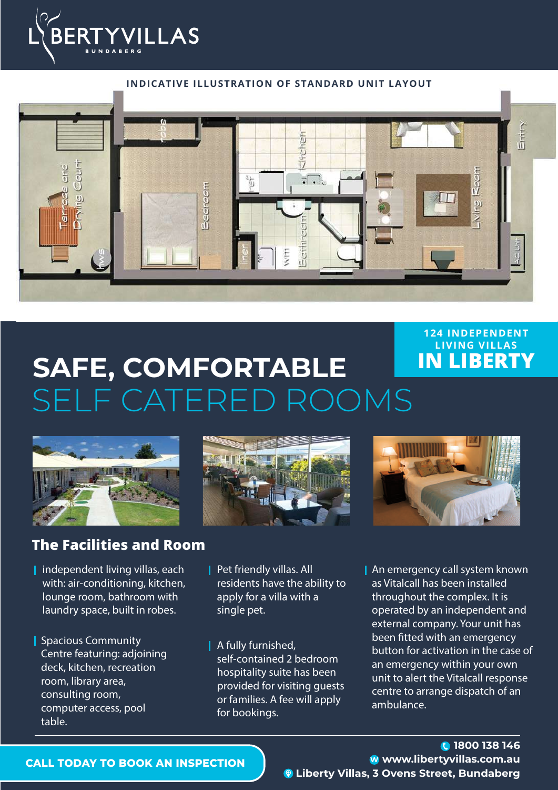



# **SAFE, COMFORTABLE** SELF CATERED ROOMS **IN LIBERTY**



## **The Facilities and Room**

- $\blacksquare$  independent living villas, each with: air-conditioning, kitchen, lounge room, bathroom with laundry space, built in robes.
- Spacious Community Centre featuring: adjoining deck, kitchen, recreation room, library area, consulting room, computer access, pool table.





**124 INDEPENDENT LIVING VILLAS**

- **Pet friendly villas. All** residents have the ability to apply for a villa with a single pet.
- **A** fully furnished, self-contained 2 bedroom hospitality suite has been provided for visiting guests or families. A fee will apply for bookings.
- **An emergency call system known** as Vitalcall has been installed throughout the complex. It is operated by an independent and external company. Your unit has been fitted with an emergency button for activation in the case of an emergency within your own unit to alert the Vitalcall response centre to arrange dispatch of an ambulance.

### **CALL TODAY TO BOOK AN INSPECTION**

### **www.libertyvillas.com.au 1800 138 146 Liberty Villas, 3 Ovens Street, Bundaberg**